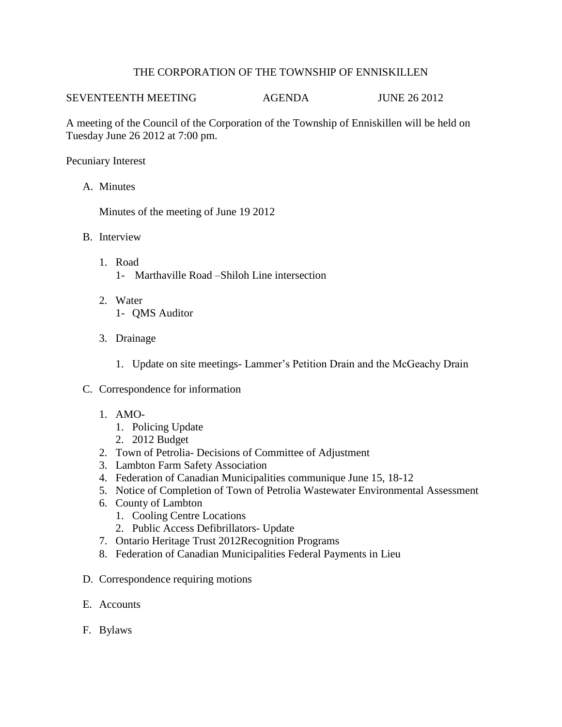## THE CORPORATION OF THE TOWNSHIP OF ENNISKILLEN

## SEVENTEENTH MEETING AGENDA JUNE 26 2012

A meeting of the Council of the Corporation of the Township of Enniskillen will be held on Tuesday June 26 2012 at 7:00 pm.

Pecuniary Interest

A. Minutes

Minutes of the meeting of June 19 2012

- B. Interview
	- 1. Road 1- Marthaville Road –Shiloh Line intersection
	- 2. Water 1- QMS Auditor
	- 3. Drainage
		- 1. Update on site meetings- Lammer's Petition Drain and the McGeachy Drain
- C. Correspondence for information
	- 1. AMO-
		- 1. Policing Update
		- 2. 2012 Budget
	- 2. Town of Petrolia- Decisions of Committee of Adjustment
	- 3. Lambton Farm Safety Association
	- 4. Federation of Canadian Municipalities communique June 15, 18-12
	- 5. Notice of Completion of Town of Petrolia Wastewater Environmental Assessment
	- 6. County of Lambton
		- 1. Cooling Centre Locations
		- 2. Public Access Defibrillators- Update
	- 7. Ontario Heritage Trust 2012Recognition Programs
	- 8. Federation of Canadian Municipalities Federal Payments in Lieu
- D. Correspondence requiring motions
- E. Accounts
- F. Bylaws